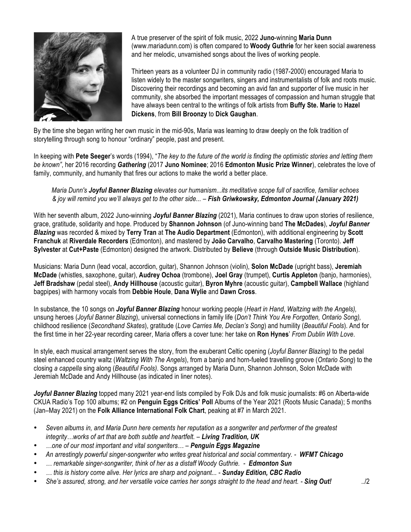

A true preserver of the spirit of folk music, 2022 **Juno**-winning **Maria Dunn** (www.mariadunn.com) is often compared to **Woody Guthrie** for her keen social awareness and her melodic, unvarnished songs about the lives of working people.

Thirteen years as a volunteer DJ in community radio (1987-2000) encouraged Maria to listen widely to the master songwriters, singers and instrumentalists of folk and roots music. Discovering their recordings and becoming an avid fan and supporter of live music in her community, she absorbed the important messages of compassion and human struggle that have always been central to the writings of folk artists from **Buffy Ste. Marie** to **Hazel Dickens**, from **Bill Broonzy** to **Dick Gaughan**.

By the time she began writing her own music in the mid-90s, Maria was learning to draw deeply on the folk tradition of storytelling through song to honour "ordinary" people, past and present.

In keeping with **Pete Seeger**'s words (1994), "*The key to the future of the world is finding the optimistic stories and letting them be known"*, her 2016 recording *Gathering* (2017 **Juno Nominee**; 2016 **Edmonton Music Prize Winner**), celebrates the love of family, community, and humanity that fires our actions to make the world a better place.

*Maria Dunn's Joyful Banner Blazing elevates our humanism...its meditative scope full of sacrifice, familiar echoes & joy will remind you we'll always get to the other side... – Fish Griwkowsky, Edmonton Journal (January 2021)*

With her seventh album, 2022 Juno-winning *Joyful Banner Blazing* (2021), Maria continues to draw upon stories of resilience, grace, gratitude, solidarity and hope. Produced by **Shannon Johnson** (of Juno-winning band **The McDades**), *Joyful Banner Blazing* was recorded & mixed by **Terry Tran** at **The Audio Department** (Edmonton), with additional engineering by **Scott Franchuk** at **Riverdale Recorders** (Edmonton), and mastered by **João Carvalho**, **Carvalho Mastering** (Toronto). **Jeff Sylvester** at **Cut+Paste** (Edmonton) designed the artwork. Distributed by **Believe** (through **Outside Music Distribution**).

Musicians: Maria Dunn (lead vocal, accordion, guitar), Shannon Johnson (violin), **Solon McDade** (upright bass), **Jeremiah McDade** (whistles, saxophone, guitar), **Audrey Ochoa** (trombone), **Joel Gray** (trumpet), **Curtis Appleton** (banjo, harmonies), **Jeff Bradshaw** (pedal steel), **Andy Hillhouse** (acoustic guitar), **Byron Myhre** (acoustic guitar), **Campbell Wallace** (highland bagpipes) with harmony vocals from **Debbie Houle**, **Dana Wylie** and **Dawn Cross**.

In substance, the 10 songs on *Joyful Banner Blazing* honour working people (*Heart in Hand*, *Waltzing with the Angels),* unsung heroes (*Joyful Banner Blazing*), universal connections in family life (*Don't Think You Are Forgotten, Ontario Song),* childhood resilience (*Secondhand Skates*), gratitude (*Love Carries Me, Declan's Song*) and humility (*Beautiful Fools*). And for the first time in her 22-year recording career, Maria offers a cover tune: her take on **Ron Hynes**' *From Dublin With Love*.

In style, each musical arrangement serves the story, from the exuberant Celtic opening (*Joyful Banner Blazing)* to the pedal steel enhanced country waltz (*Waltzing With The Angels*), from a banjo and horn-fueled travelling groove (*Ontario Song*) to the closing *a cappella* sing along (*Beautiful Fools)*. Songs arranged by Maria Dunn, Shannon Johnson, Solon McDade with Jeremiah McDade and Andy Hillhouse (as indicated in liner notes).

*Joyful Banner Blazing* topped many 2021 year-end lists compiled by Folk DJs and folk music journalists: #6 on Alberta-wide CKUA Radio's Top 100 albums; #2 on **Penguin Eggs Critics' Poll** Albums of the Year 2021 (Roots Music Canada); 5 months (Jan–May 2021) on the **Folk Alliance International Folk Chart**, peaking at #7 in March 2021.

- *Seven albums in, and Maria Dunn here cements her reputation as a songwriter and performer of the greatest integrity…works of art that are both subtle and heartfelt. – Living Tradition, UK*
- *…one of our most important and vital songwriters… – Penguin Eggs Magazine*
- *An arrestingly powerful singer-songwriter who writes great historical and social commentary. - WFMT Chicago*
- *… remarkable singer-songwriter, think of her as a distaff Woody Guthrie. - Edmonton Sun*
- *… this is history come alive. Her lyrics are sharp and poignant... - Sunday Edition, CBC Radio*
- *She's assured, strong, and her versatile voice carries her songs straight to the head and heart. - Sing Out!* ../2